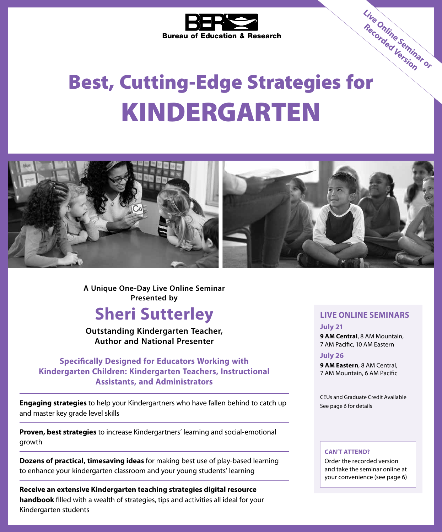

# Best, Cutting-Edge Strategies for KINDERGARTEN **Live Online Seminar or Recorded Version**



**A Unique One-Day Live Online Seminar Presented by**

# **Sheri Sutterley**

**Outstanding Kindergarten Teacher, Author and National Presenter**

# **Specifically Designed for Educators Working with Kindergarten Children: Kindergarten Teachers, Instructional Assistants, and Administrators**

**Engaging strategies** to help your Kindergartners who have fallen behind to catch up and master key grade level skills

**Proven, best strategies** to increase Kindergartners' learning and social-emotional growth

**Dozens of practical, timesaving ideas** for making best use of play-based learning to enhance your kindergarten classroom and your young students' learning

**Receive an extensive Kindergarten teaching strategies digital resource handbook** filled with a wealth of strategies, tips and activities all ideal for your Kindergarten students

# **LIVE ONLINE SEMINARS**

#### **July 21**

**9 AM Central**, 8 AM Mountain, 7 AM Pacific, 10 AM Eastern

#### **July 26**

**9 AM Eastern**, 8 AM Central, 7 AM Mountain, 6 AM Pacific

CEUs and Graduate Credit Available See page 6 for details

#### **CAN'T ATTEND?**

Order the recorded version and take the seminar online at your convenience (see page 6)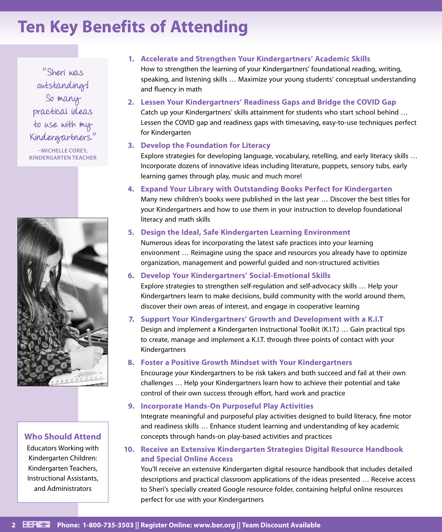# **Ten Key Benefits of Attending**

"Sheri was outstanding! So many practical ideas to use with my Kindergartners."

**–MICHELLE COREY, KINDERGARTEN TEACHER**



# **Who Should Attend**

Educators Working with Kindergarten Children: Kindergarten Teachers, Instructional Assistants, and Administrators

### **1. Accelerate and Strengthen Your Kindergartners' Academic Skills**

How to strengthen the learning of your Kindergartners' foundational reading, writing, speaking, and listening skills … Maximize your young students' conceptual understanding and fluency in math

# **2. Lessen Your Kindergartners' Readiness Gaps and Bridge the COVID Gap**

Catch up your Kindergartners' skills attainment for students who start school behind … Lessen the COVID gap and readiness gaps with timesaving, easy-to-use techniques perfect for Kindergarten

# **3. Develop the Foundation for Literacy**

Explore strategies for developing language, vocabulary, retelling, and early literacy skills … Incorporate dozens of innovative ideas including literature, puppets, sensory tubs, early learning games through play, music and much more!

**4. Expand Your Library with Outstanding Books Perfect for Kindergarten**

Many new children's books were published in the last year … Discover the best titles for your Kindergartners and how to use them in your instruction to develop foundational literacy and math skills

# **5. Design the Ideal, Safe Kindergarten Learning Environment**

Numerous ideas for incorporating the latest safe practices into your learning environment … Reimagine using the space and resources you already have to optimize organization, management and powerful guided and non-structured activities

### **6. Develop Your Kindergartners' Social-Emotional Skills**

Explore strategies to strengthen self-regulation and self-advocacy skills … Help your Kindergartners learn to make decisions, build community with the world around them, discover their own areas of interest, and engage in cooperative learning

### **7. Support Your Kindergartners' Growth and Development with a K.I.T**

Design and implement a Kindergarten Instructional Toolkit (K.I.T.) … Gain practical tips to create, manage and implement a K.I.T. through three points of contact with your Kindergartners

# **8. Foster a Positive Growth Mindset with Your Kindergartners**

Encourage your Kindergartners to be risk takers and both succeed and fail at their own challenges … Help your Kindergartners learn how to achieve their potential and take control of their own success through effort, hard work and practice

# **9. Incorporate Hands-On Purposeful Play Activities**

Integrate meaningful and purposeful play activities designed to build literacy, fine motor and readiness skills … Enhance student learning and understanding of key academic concepts through hands-on play-based activities and practices

# **10. Receive an Extensive Kindergarten Strategies Digital Resource Handbook and Special Online Access**

You'll receive an extensive Kindergarten digital resource handbook that includes detailed descriptions and practical classroom applications of the ideas presented … Receive access to Sheri's specially created Google resource folder, containing helpful online resources perfect for use with your Kindergartners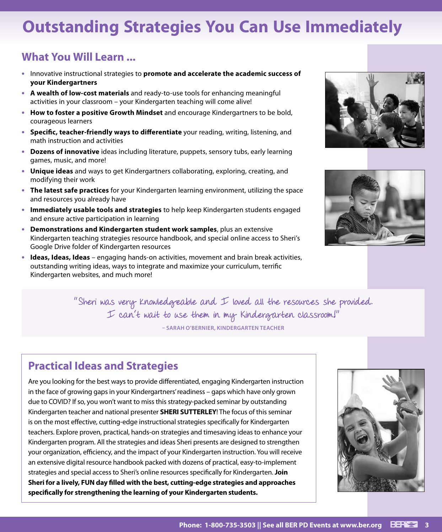# **Outstanding Strategies You Can Use Immediately**

# **What You Will Learn ...**

- **•** Innovative instructional strategies to **promote and accelerate the academic success of your Kindergartners**
- **• A wealth of low-cost materials** and ready-to-use tools for enhancing meaningful activities in your classroom – your Kindergarten teaching will come alive!
- **• How to foster a positive Growth Mindset** and encourage Kindergartners to be bold, courageous learners
- **• Specific, teacher-friendly ways to differentiate** your reading, writing, listening, and math instruction and activities
- **• Dozens of innovative** ideas including literature, puppets, sensory tubs, early learning games, music, and more!
- **• Unique ideas** and ways to get Kindergartners collaborating, exploring, creating, and modifying their work
- **• The latest safe practices** for your Kindergarten learning environment, utilizing the space and resources you already have
- **• Immediately usable tools and strategies** to help keep Kindergarten students engaged and ensure active participation in learning
- **• Demonstrations and Kindergarten student work samples**, plus an extensive Kindergarten teaching strategies resource handbook, and special online access to Sheri's Google Drive folder of Kindergarten resources
- **• Ideas, Ideas, Ideas** engaging hands-on activities, movement and brain break activities, outstanding writing ideas, ways to integrate and maximize your curriculum, terrific Kindergarten websites, and much more!





"Sheri was very Knowledgeable and I loved all the resources she provided. I can't wait to use them in my Kindergarten classroom!"

**– SARAH O'BERNIER, KINDERGARTEN TEACHER**

# **Practical Ideas and Strategies**

Are you looking for the best ways to provide differentiated, engaging Kindergarten instruction in the face of growing gaps in your Kindergartners' readiness – gaps which have only grown due to COVID? If so, you won't want to miss this strategy-packed seminar by outstanding Kindergarten teacher and national presenter **SHERI SUTTERLEY**! The focus of this seminar is on the most effective, cutting-edge instructional strategies specifically for Kindergarten teachers. Explore proven, practical, hands-on strategies and timesaving ideas to enhance your Kindergarten program. All the strategies and ideas Sheri presents are designed to strengthen your organization, efficiency, and the impact of your Kindergarten instruction. You will receive an extensive digital resource handbook packed with dozens of practical, easy-to-implement strategies and special access to Sheri's online resources specifically for Kindergarten. **Join Sheri for a lively, FUN day filled with the best, cutting-edge strategies and approaches specifically for strengthening the learning of your Kindergarten students.**

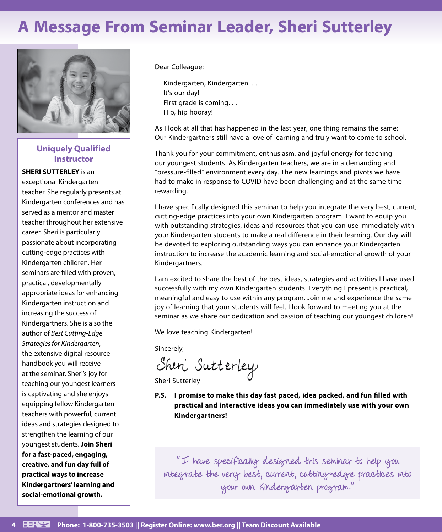# **A Message From Seminar Leader, Sheri Sutterley**



# **Uniquely Qualified Instructor**

### **SHERI SUTTERLEY** is an

exceptional Kindergarten teacher. She regularly presents at Kindergarten conferences and has served as a mentor and master teacher throughout her extensive career. Sheri is particularly passionate about incorporating cutting-edge practices with Kindergarten children. Her seminars are filled with proven, practical, developmentally appropriate ideas for enhancing Kindergarten instruction and increasing the success of Kindergartners. She is also the author of *Best Cutting-Edge Strategies for Kindergarten*, the extensive digital resource handbook you will receive at the seminar. Sheri's joy for teaching our youngest learners is captivating and she enjoys equipping fellow Kindergarten teachers with powerful, current ideas and strategies designed to strengthen the learning of our youngest students. **Join Sheri for a fast-paced, engaging, creative, and fun day full of practical ways to increase Kindergartners' learning and social-emotional growth.**

Dear Colleague:

Kindergarten, Kindergarten. . . It's our day! First grade is coming. . . Hip, hip hooray!

As I look at all that has happened in the last year, one thing remains the same: Our Kindergartners still have a love of learning and truly want to come to school.

Thank you for your commitment, enthusiasm, and joyful energy for teaching our youngest students. As Kindergarten teachers, we are in a demanding and "pressure-filled" environment every day. The new learnings and pivots we have had to make in response to COVID have been challenging and at the same time rewarding.

I have specifically designed this seminar to help you integrate the very best, current, cutting-edge practices into your own Kindergarten program. I want to equip you with outstanding strategies, ideas and resources that you can use immediately with your Kindergarten students to make a real difference in their learning. Our day will be devoted to exploring outstanding ways you can enhance your Kindergarten instruction to increase the academic learning and social-emotional growth of your Kindergartners.

I am excited to share the best of the best ideas, strategies and activities I have used successfully with my own Kindergarten students. Everything I present is practical, meaningful and easy to use within any program. Join me and experience the same joy of learning that your students will feel. I look forward to meeting you at the seminar as we share our dedication and passion of teaching our youngest children!

We love teaching Kindergarten!

Sincerely,

Shen Sutterley

Sheri Sutterley

**P.S. I promise to make this day fast paced, idea packed, and fun filled with practical and interactive ideas you can immediately use with your own Kindergartners!**

"I have specifically designed this seminar to help you integrate the very best, current, cutting-edge practices into your own Kindergarten program."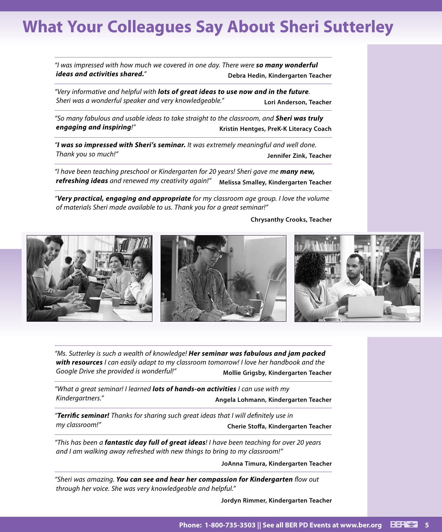# **What Your Colleagues Say About Sheri Sutterley**

*"I was impressed with how much we covered in one day. There were so many wonderful ideas and activities shared.*<sup>"</sup> **Debra Hedin, Kindergarten Teacher** 

*"Very informative and helpful with lots of great ideas to use now and in the future. Sheri was a wonderful speaker and very knowledgeable."* **Lori Anderson, Teacher**

*"So many fabulous and usable ideas to take straight to the classroom, and Sheri was truly engaging and inspiring!"* **Kristin Hentges, PreK-K Literacy Coach**

*"I was so impressed with Sheri's seminar. It was extremely meaningful and well done. Thank you so much!"* **Jennifer Zink, Teacher**

*"I have been teaching preschool or Kindergarten for 20 years! Sheri gave me many new, refreshing ideas and renewed my creativity again!"* **Melissa Smalley, Kindergarten Teacher**

*"Very practical, engaging and appropriate for my classroom age group. I love the volume of materials Sheri made available to us. Thank you for a great seminar!"*

**Chrysanthy Crooks, Teacher**



*"Ms. Sutterley is such a wealth of knowledge! Her seminar was fabulous and jam packed with resources I can easily adapt to my classroom tomorrow! I love her handbook and the Google Drive she provided is wonderful!"* **Mollie Grigsby, Kindergarten Teacher**

*"What a great seminar! I learned lots of hands-on activities I can use with my Kindergartners."* **Angela Lohmann, Kindergarten Teacher**

*"Terrific seminar! Thanks for sharing such great ideas that I will definitely use in my classroom!"* **Cherie Stoffa, Kindergarten Teacher**

*"This has been a fantastic day full of great ideas! I have been teaching for over 20 years and I am walking away refreshed with new things to bring to my classroom!"*

**JoAnna Timura, Kindergarten Teacher**

*"Sheri was amazing. You can see and hear her compassion for Kindergarten flow out through her voice. She was very knowledgeable and helpful."*

**Jordyn Rimmer, Kindergarten Teacher**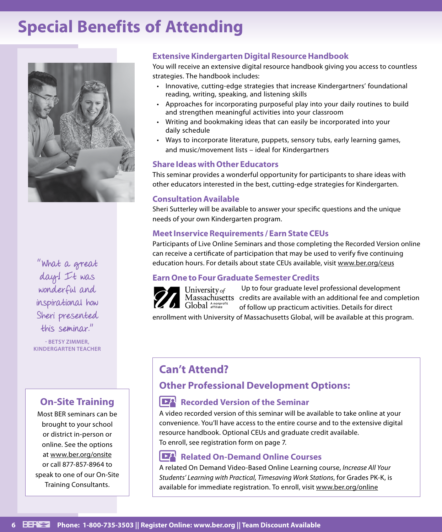# **Special Benefits of Attending**



"What a great day! It was wonderful and inspirational how Sheri presented this seminar."

**- BETSY ZIMMER, KINDERGARTEN TEACHER**

# **On-Site Training**

Most BER seminars can be brought to your school or district in-person or online. See the options at www.ber.org/onsite or call 877-857-8964 to speak to one of our On-Site Training Consultants.

# **Extensive Kindergarten Digital Resource Handbook**

You will receive an extensive digital resource handbook giving you access to countless strategies. The handbook includes:

- Innovative, cutting-edge strategies that increase Kindergartners' foundational reading, writing, speaking, and listening skills
- Approaches for incorporating purposeful play into your daily routines to build and strengthen meaningful activities into your classroom
- Writing and bookmaking ideas that can easily be incorporated into your daily schedule
- Ways to incorporate literature, puppets, sensory tubs, early learning games, and music/movement lists – ideal for Kindergartners

# **Share Ideas with Other Educators**

This seminar provides a wonderful opportunity for participants to share ideas with other educators interested in the best, cutting-edge strategies for Kindergarten.

# **Consultation Available**

Sheri Sutterley will be available to answer your specific questions and the unique needs of your own Kindergarten program.

# **Meet Inservice Requirements / Earn State CEUs**

Participants of Live Online Seminars and those completing the Recorded Version online can receive a certificate of participation that may be used to verify five continuing education hours. For details about state CEUs available, visit www.ber.org/ceus

# **Earn One to Four Graduate Semester Credits**



Up to four graduate level professional development Massachusetts credits are available with an additional fee and completion of follow up practicum activities. Details for direct

enrollment with University of Massachusetts Global, will be available at this program.

# **Can't Attend?**

# **Other Professional Development Options:**

# **Recorded Version of the Seminar**

A video recorded version of this seminar will be available to take online at your convenience. You'll have access to the entire course and to the extensive digital resource handbook. Optional CEUs and graduate credit available. To enroll, see registration form on page 7.

#### $\mathbb{R}$ **Related On-Demand Online Courses**

A related On Demand Video-Based Online Learning course, *Increase All Your Students' Learning with Practical, Timesaving Work Stations*, for Grades PK-K, is available for immediate registration. To enroll, visit www.ber.org/online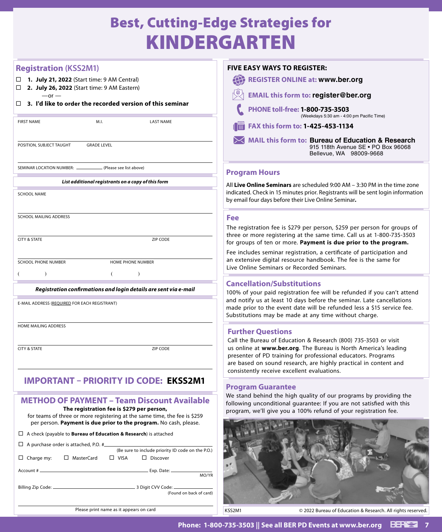# Best, Cutting-Edge Strategies for KINDERGARTEN

# **Registration (KSS2M1)**

- **1. July 21, 2022** (Start time: 9 AM Central)
- **2. July 26, 2022** (Start time: 9 AM Eastern)  $-$ or  $-$

#### **3. I'd like to order the recorded version of this seminar**

|                                                    | <b>FIRST NAME</b>                                                | M.I.               | <b>LAST NAME</b> |  |  |  |  |
|----------------------------------------------------|------------------------------------------------------------------|--------------------|------------------|--|--|--|--|
|                                                    | POSITION, SUBJECT TAUGHT                                         | <b>GRADE LEVEL</b> |                  |  |  |  |  |
|                                                    | SEMINAR LOCATION NUMBER: _______________ (Please see list above) |                    |                  |  |  |  |  |
| List additional registrants on a copy of this form |                                                                  |                    |                  |  |  |  |  |
|                                                    | <b>SCHOOL NAME</b>                                               |                    |                  |  |  |  |  |
|                                                    | SCHOOL MAILING ADDRESS                                           |                    |                  |  |  |  |  |

**CITY & STATE ZIP CODE** 

SCHOOL PHONE NUMBER HOME PHONE NUMBER

 $($  ) ( )

#### *Registration confirmations and login details are sent via e-mail*

E-MAIL ADDRESS (REQUIRED FOR EACH REGISTRANT)

HOME MAILING ADDRESS

**CITY & STATE** ZIP CODE

# **IMPORTANT: PRIORITY ID CODE IMPORTANT – PRIORITY ID CODE: EKSS2M1Film children** in the six digital  $\frac{1}{2}$  depends on  $\frac{1}{2}$

### **METHOD OF PAYMENT – Team Discount Available The registration fee is \$279 per person,**

for teams of three or more registering at the same time, the fee is \$259 per person. **Payment is due prior to the program.** No cash, please.

### A check (payable to **Bureau of Education & Research**) is attached

|            |                   |  |             |  | (Be sure to include priority ID code on the P.O.)                                  |  |  |  |
|------------|-------------------|--|-------------|--|------------------------------------------------------------------------------------|--|--|--|
| Charge my: | $\Box$ MasterCard |  | $\Box$ VISA |  | $\Box$ Discover                                                                    |  |  |  |
|            |                   |  |             |  | $Exp.$ Date: $\_\_\_\_\_\_\_\_\_\_\_\_\_\_\_\_\_\_\_\_\_\_\_\_\_\_\_\_\_$<br>MO/YR |  |  |  |
|            |                   |  |             |  | (Found on back of card)                                                            |  |  |  |
|            |                   |  |             |  |                                                                                    |  |  |  |

| <b>FIVE EASY WAYS TO REGISTER:</b>      |                                                                                         |  |  |  |  |
|-----------------------------------------|-----------------------------------------------------------------------------------------|--|--|--|--|
|                                         | <b>REGISTER ONLINE at: www.ber.org</b>                                                  |  |  |  |  |
|                                         | <b>EMAIL this form to: register@ber.org</b>                                             |  |  |  |  |
|                                         | PHONE toll-free: 1-800-735-3503<br>(Weekdays 5:30 am - 4:00 pm Pacific Time)            |  |  |  |  |
| II.<br>FAX this form to: 1-425-453-1134 |                                                                                         |  |  |  |  |
|                                         | MAIL this form to: Bureau of Education & Research<br>915 118th Avenue SE . PO Box 96068 |  |  |  |  |

# **Program Hours**

All **Live Online Seminars** are scheduled 9:00 AM – 3:30 PM in the time zone indicated. Check in 15 minutes prior. Registrants will be sent login information by email four days before their Live Online Seminar**.**

Bellevue, WA 98009‑9668

#### **Fee**

The registration fee is \$279 per person, \$259 per person for groups of three or more registering at the same time. Call us at 1-800-735-3503 for groups of ten or more. **Payment is due prior to the program.**

Fee includes seminar registration, a certificate of participation and an extensive digital resource handbook. The fee is the same for Live Online Seminars or Recorded Seminars.

# **Cancellation/Substitutions**

100% of your paid registration fee will be refunded if you can't attend and notify us at least 10 days before the seminar. Late cancellations made prior to the event date will be refunded less a \$15 service fee. Substitutions may be made at any time without charge.

# **Further Questions**

Call the Bureau of Education & Research (800) 735-3503 or visit us online at **www.ber.org**. The Bureau is North America's leading presenter of PD training for professional educators. Programs are based on sound research, are highly practical in content and consistently receive excellent evaluations.

# **Program Guarantee**

We stand behind the high quality of our programs by providing the following unconditional guarantee: If you are not satisfied with this program, we'll give you a 100% refund of your registration fee.



Please print name as it appears on card

KSS2M1 © 2022 Bureau of Education & Research. All rights reserved.